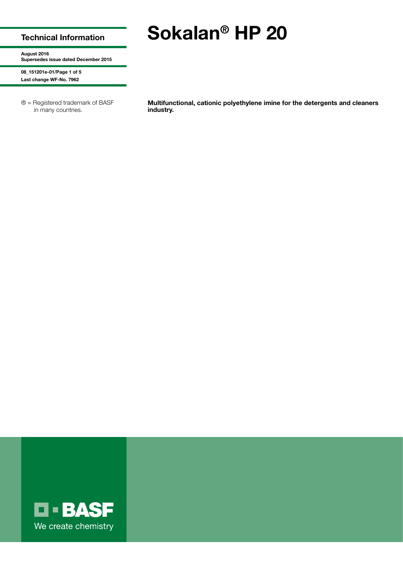## Technical Information

# Sokalan® HP 20

August 2016 Supersedes issue dated December 2015

08\_151201e-01/Page 1 of 5 Last change WF-No. 7962

® = Registered trademark of BASF in many countries.

Multifunctional, cationic polyethylene imine for the detergents and cleaners industry.

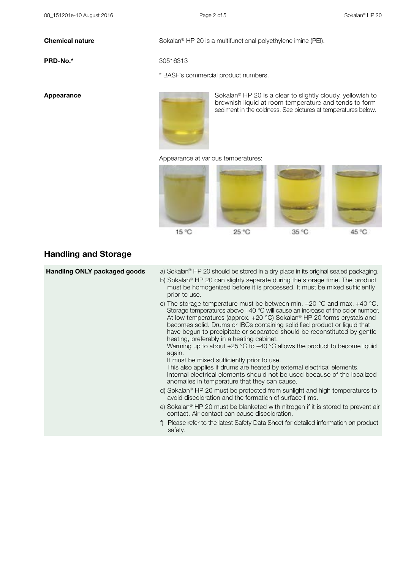**Chemical nature** Sokalan<sup>®</sup> HP 20 is a multifunctional polyethylene imine (PEI).

**PRD-No.\*** 30516313

\* BASF's commercial product numbers.



Appearance Sokalan<sup>®</sup> HP 20 is a clear to slightly cloudy, yellowish to brownish liquid at room temperature and tends to form sediment in the coldness. See pictures at temperatures below.

### Appearance at various temperatures:



# Handling and Storage

| <b>Handling ONLY packaged goods</b> | a) Sokalan <sup>®</sup> HP 20 should be stored in a dry place in its original sealed packaging.<br>b) Sokalan <sup>®</sup> HP 20 can slighty separate during the storage time. The product<br>must be homogenized before it is processed. It must be mixed sufficiently<br>prior to use.                                                                                                                                                                                                                                                                                                                                                                                                                                                                                                                     |
|-------------------------------------|--------------------------------------------------------------------------------------------------------------------------------------------------------------------------------------------------------------------------------------------------------------------------------------------------------------------------------------------------------------------------------------------------------------------------------------------------------------------------------------------------------------------------------------------------------------------------------------------------------------------------------------------------------------------------------------------------------------------------------------------------------------------------------------------------------------|
|                                     | c) The storage temperature must be between min. $+20\degree$ C and max. $+40\degree$ C.<br>Storage temperatures above $+40$ °C will cause an increase of the color number.<br>At low temperatures (approx. $+20$ °C) Sokalan® HP 20 forms crystals and<br>becomes solid. Drums or IBCs containing solidified product or liquid that<br>have begun to precipitate or separated should be reconstituted by gentle<br>heating, preferably in a heating cabinet.<br>Warming up to about $+25$ °C to $+40$ °C allows the product to become liquid<br>again.<br>It must be mixed sufficiently prior to use.<br>This also applies if drums are heated by external electrical elements.<br>Internal electrical elements should not be used because of the localized<br>anomalies in temperature that they can cause. |
|                                     | d) Sokalan <sup>®</sup> HP 20 must be protected from sunlight and high temperatures to<br>avoid discoloration and the formation of surface films.                                                                                                                                                                                                                                                                                                                                                                                                                                                                                                                                                                                                                                                            |
|                                     | e) Sokalan® HP 20 must be blanketed with nitrogen if it is stored to prevent air<br>contact. Air contact can cause discoloration.                                                                                                                                                                                                                                                                                                                                                                                                                                                                                                                                                                                                                                                                            |
|                                     | Please refer to the latest Safety Data Sheet for detailed information on product<br>safety.                                                                                                                                                                                                                                                                                                                                                                                                                                                                                                                                                                                                                                                                                                                  |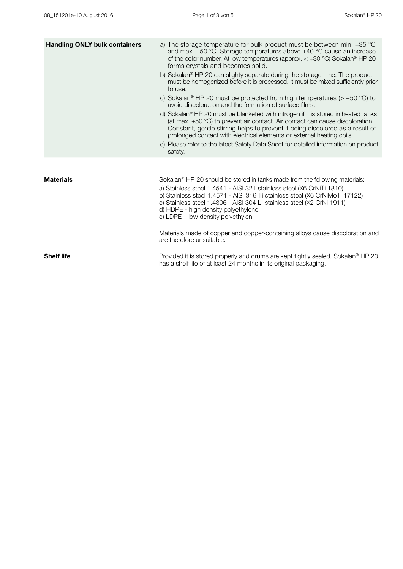| <b>Handling ONLY bulk containers</b> | a) The storage temperature for bulk product must be between min. $+35$ °C<br>and max. $+50$ °C. Storage temperatures above $+40$ °C cause an increase<br>of the color number. At low temperatures (approx. $< +30$ °C) Sokalan <sup>®</sup> HP 20<br>forms crystals and becomes solid.<br>b) Sokalan <sup>®</sup> HP 20 can slighty separate during the storage time. The product<br>must be homogenized before it is processed. It must be mixed sufficiently prior<br>to use.<br>c) Sokalan <sup>®</sup> HP 20 must be protected from high temperatures ( $> +50$ °C) to<br>avoid discoloration and the formation of surface films.<br>d) Sokalan® HP 20 must be blanketed with nitrogen if it is stored in heated tanks<br>(at max. +50 °C) to prevent air contact. Air contact can cause discoloration.<br>Constant, gentle stirring helps to prevent it being discolored as a result of<br>prolonged contact with electrical elements or external heating coils.<br>e) Please refer to the latest Safety Data Sheet for detailed information on product<br>safety. |
|--------------------------------------|-------------------------------------------------------------------------------------------------------------------------------------------------------------------------------------------------------------------------------------------------------------------------------------------------------------------------------------------------------------------------------------------------------------------------------------------------------------------------------------------------------------------------------------------------------------------------------------------------------------------------------------------------------------------------------------------------------------------------------------------------------------------------------------------------------------------------------------------------------------------------------------------------------------------------------------------------------------------------------------------------------------------------------------------------------------------------|
| <b>Materials</b>                     | Sokalan® HP 20 should be stored in tanks made from the following materials:<br>a) Stainless steel 1.4541 - AISI 321 stainless steel (X6 CrNiTi 1810)<br>b) Stainless steel 1.4571 - AISI 316 Ti stainless steel (X6 CrNiMoTi 17122)<br>c) Stainless steel 1.4306 - AISI 304 L stainless steel (X2 CrNi 1911)<br>d) HDPE - high density polyethylene<br>e) LDPE - low density polyethylen<br>Materials made of copper and copper-containing alloys cause discoloration and                                                                                                                                                                                                                                                                                                                                                                                                                                                                                                                                                                                               |
| <b>Shelf life</b>                    | are therefore unsuitable.<br>Provided it is stored properly and drums are kept tightly sealed, Sokalan <sup>®</sup> HP 20<br>has a shelf life of at least 24 months in its original packaging.                                                                                                                                                                                                                                                                                                                                                                                                                                                                                                                                                                                                                                                                                                                                                                                                                                                                          |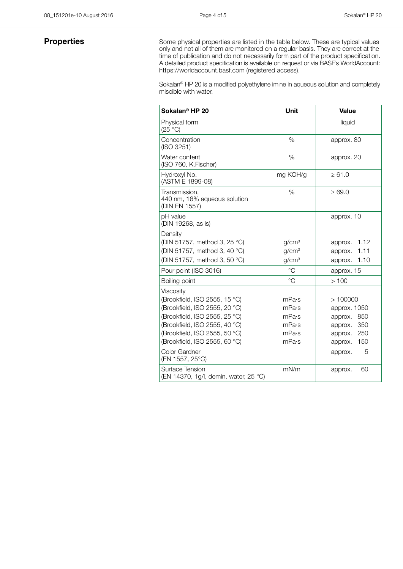**Properties** Some physical properties are listed in the table below. These are typical values only and not all of them are monitored on a regular basis. They are correct at the time of publication and do not necessarily form part of the product specification. A detailed product specification is available on request or via BASF's WorldAccount: https://worldaccount.basf.com (registered access).

> Sokalan® HP 20 is a modified polyethylene imine in aqueous solution and completely miscible with water.

| Sokalan <sup>®</sup> HP 20                                     | <b>Unit</b>       | <b>Value</b>    |
|----------------------------------------------------------------|-------------------|-----------------|
| Physical form<br>(25 °C)                                       |                   | liquid          |
| Concentration<br>(ISO 3251)                                    | %                 | approx. 80      |
| Water content<br>(ISO 760, K.Fischer)                          | %                 | approx. 20      |
| Hydroxyl No.<br>(ASTM E 1899-08)                               | mg KOH/g          | $\ge 61.0$      |
| Transmission.<br>440 nm, 16% aqueous solution<br>(DIN EN 1557) | $\%$              | $\geq 69.0$     |
| pH value<br>(DIN 19268, as is)                                 |                   | approx. 10      |
| Density                                                        |                   |                 |
| (DIN 51757, method 3, 25 °C)                                   | g/cm <sup>3</sup> | 1.12<br>approx. |
| (DIN 51757, method 3, 40 °C)                                   | g/cm <sup>3</sup> | 1.11<br>approx. |
| (DIN 51757, method 3, 50 °C)                                   | g/cm <sup>3</sup> | 1.10<br>approx. |
| Pour point (ISO 3016)                                          | $^{\circ}$ C      | approx. 15      |
| Boiling point                                                  | $^{\circ}C$       | >100            |
| Viscosity                                                      |                   |                 |
| (Brookfield, ISO 2555, 15 °C)                                  | mPa·s             | >100000         |
| (Brookfield, ISO 2555, 20 °C)                                  | mPa·s             | approx. 1050    |
| (Brookfield, ISO 2555, 25 °C)                                  | mPa·s             | 850<br>approx.  |
| (Brookfield, ISO 2555, 40 °C)                                  | mPa·s             | 350<br>approx.  |
| (Brookfield, ISO 2555, 50 °C)                                  | mPa·s             | 250<br>approx.  |
| (Brookfield, ISO 2555, 60 °C)                                  | mPa·s             | 150<br>approx.  |
| Color Gardner<br>(EN 1557, 25°C)                               |                   | 5<br>approx.    |
| Surface Tension<br>(EN 14370, 1g/l, demin. water, 25 °C)       | mN/m              | 60<br>approx.   |